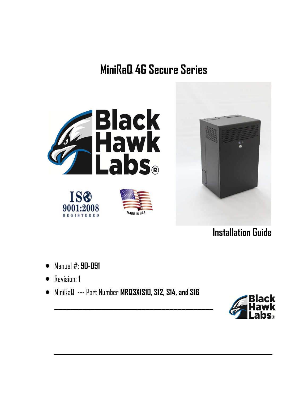# **MiniRaQ 4G Secure Series**





**Installation Guide** 

- Manual #: **90-091**
- Revision: **1**
- MiniRaQ --- Part Number **MRQ3X1S10, S12, S14, and S16**

**\_\_\_\_\_\_\_\_\_\_\_\_\_\_\_\_\_\_\_\_\_\_\_\_\_\_\_\_\_\_\_\_\_\_\_\_\_\_\_\_** 

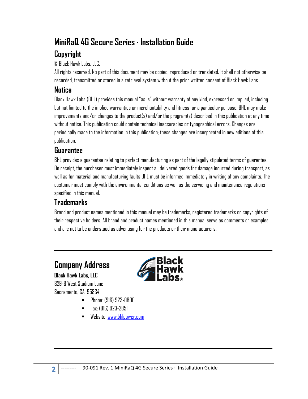# **MiniRaQ 4G Secure Series · Installation Guide**

# **Copyright**

© Black Hawk Labs, LLC.

All rights reserved. No part of this document may be copied, reproduced or translated. It shall not otherwise be recorded, transmitted or stored in a retrieval system without the prior written consent of Black Hawk Labs.

# **Notice**

Black Hawk Labs (BHL) provides this manual "as is" without warranty of any kind, expressed or implied, including but not limited to the implied warranties or merchantability and fitness for a particular purpose. BHL may make improvements and/or changes to the product(s) and/or the program(s) described in this publication at any time without notice. This publication could contain technical inaccuracies or typographical errors. Changes are periodically made to the information in this publication; these changes are incorporated in new editions of this publication.

### **Guarantee**

BHL provides a guarantee relating to perfect manufacturing as part of the legally stipulated terms of guarantee. On receipt, the purchaser must immediately inspect all delivered goods for damage incurred during transport, as well as for material and manufacturing faults BHL must be informed immediately in writing of any complaints. The customer must comply with the environmental conditions as well as the servicing and maintenance regulations specified in this manual.

# **Trademarks**

Brand and product names mentioned in this manual may be trademarks, registered trademarks or copyrights of their respective holders. All brand and product names mentioned in this manual serve as comments or examples and are not to be understood as advertising for the products or their manufacturers.

# **Company Address**

**Black Hawk Labs, LLC** 829-B West Stadium Lane Sacramento, CA 95834



- Phone: (916) 923-0800
- Fax: (916) 923-2851
- Website: www.bhlpower.com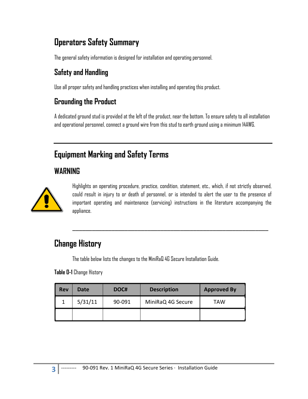# **Operators Safety Summary**

The general safety information is designed for installation and operating personnel.

# **Safety and Handling**

Use all proper safety and handling practices when installing and operating this product.

# **Grounding the Product**

A dedicated ground stud is provided at the left of the product, near the bottom. To ensure safety to all installation and operational personnel, connect a ground wire from this stud to earth ground using a minimum 14AWG.

# **Equipment Marking and Safety Terms**

## **WARNING**



Highlights an operating procedure, practice, condition, statement, etc., which, if not strictly observed, could result in injury to or death of personnel, or is intended to alert the user to the presence of important operating and maintenance (servicing) instructions in the literature accompanying the appliance.

 $\overline{\phantom{a}}$  , and the contract of the contract of the contract of the contract of the contract of the contract of the contract of the contract of the contract of the contract of the contract of the contract of the contrac

# **Change History**

The table below lists the changes to the MiniRaQ 4G Secure Installation Guide.

**Table 0-1** Change History

| Rev | Date    | DOC#   | <b>Description</b> | <b>Approved By</b> |  |
|-----|---------|--------|--------------------|--------------------|--|
|     | 5/31/11 | 90-091 | MiniRaQ 4G Secure  | TAW                |  |
|     |         |        |                    |                    |  |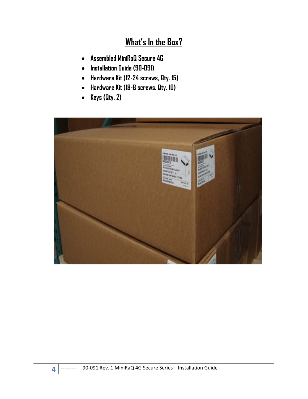# **What's In the Box?**

- **Assembled MiniRaQ Secure 4G**
- **Installation Guide (90-091)**
- **Hardware Kit (12-24 screws, Qty. 15)**
- **Hardware Kit (18-8 screws. Qty. 10)**
- **Keys (Qty. 2)**

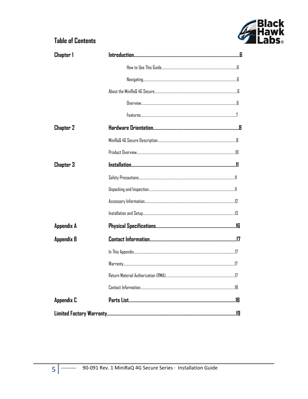

### **Table of Contents**

| Chapter 1         |  |
|-------------------|--|
|                   |  |
|                   |  |
|                   |  |
|                   |  |
|                   |  |
| <b>Chapter 2</b>  |  |
|                   |  |
|                   |  |
| <b>Chapter 3</b>  |  |
|                   |  |
|                   |  |
|                   |  |
|                   |  |
| <b>Appendix A</b> |  |
| <b>Appendix B</b> |  |
|                   |  |
|                   |  |
|                   |  |
|                   |  |
| <b>Appendix C</b> |  |
|                   |  |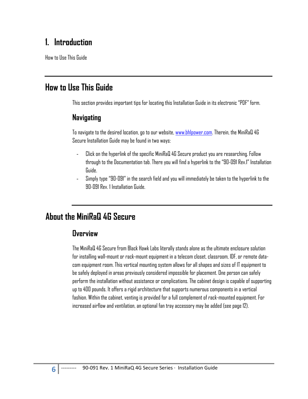# **1. Introduction**

How to Use This Guide

# **How to Use This Guide**

This section provides important tips for locating this Installation Guide in its electronic "PDF" form.

#### **Navigating**

To navigate to the desired location, go to our website, www.bhlpower.com. Therein, the MiniRaQ 4G Secure Installation Guide may be found in two ways:

- ‐ Click on the hyperlink of the specific MiniRaQ 4G Secure product you are researching. Follow through to the Documentation tab. There you will find a hyperlink to the "90-091 Rev.1" Installation Guide.
- ‐ Simply type "90-091" in the search field and you will immediately be taken to the hyperlink to the 90-091 Rev. 1 Installation Guide.

# **About the MiniRaQ 4G Secure**

#### **Overview**

The MiniRaQ 4G Secure from Black Hawk Labs literally stands alone as the ultimate enclosure solution for installing wall-mount or rack-mount equipment in a telecom closet, classroom, IDF, or remote datacom equipment room. This vertical mounting system allows for all shapes and sizes of IT equipment to be safely deployed in areas previously considered impossible for placement. One person can safely perform the installation without assistance or complications. The cabinet design is capable of supporting up to 400 pounds. It offers a rigid architecture that supports numerous components in a vertical fashion. Within the cabinet, venting is provided for a full complement of rack-mounted equipment. For increased airflow and ventilation, an optional fan tray accessory may be added (see page 12).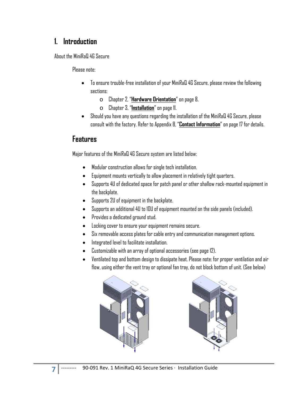### **1. Introduction**

About the MiniRaQ 4G Secure

Please note:

- To ensure trouble-free installation of your MiniRaQ 4G Secure, please review the following sections:
	- o Chapter 2, "**Hardware Orientation**" on page 8.
	- o Chapter 3, "**Installation**" on page 11.
- Should you have any questions regarding the installation of the MiniRaQ 4G Secure, please consult with the factory. Refer to Appendix B, "**Contact Information**" on page 17 for details.

### **Features**

Major features of the MiniRaQ 4G Secure system are listed below:

- Modular construction allows for single tech installation.
- Equipment mounts vertically to allow placement in relatively tight quarters.
- Supports 4U of dedicated space for patch panel or other shallow rack-mounted equipment in the backplate.
- Supports 2U of equipment in the backplate.
- Supports an additional 4U to 10U of equipment mounted on the side panels (included).
- Provides a dedicated ground stud.
- Locking cover to ensure your equipment remains secure.
- Six removable access plates for cable entry and communication management options.
- $\bullet$  Integrated level to facilitate installation.
- Customizable with an array of optional accessories (see page 12).
- Ventilated top and bottom design to dissipate heat. Please note: for proper ventilation and air flow, using either the vent tray or optional fan tray, do not block bottom of unit. (See below)



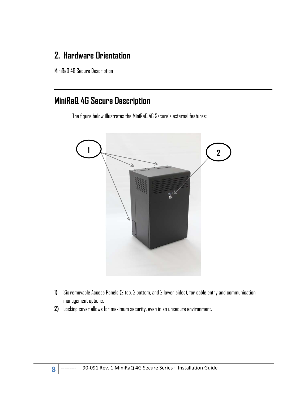# **2. Hardware Orientation**

MiniRaQ 4G Secure Description

# **MiniRaQ 4G Secure Description**

The figure below illustrates the MiniRaQ 4G Secure's external features:



- **1)** Six removable Access Panels (2 top, 2 bottom, and 2 lower sides), for cable entry and communication management options.
- **2)** Locking cover allows for maximum security, even in an unsecure environment.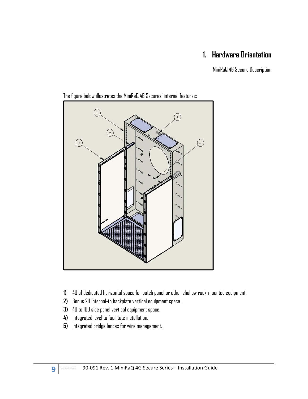## **1. Hardware Orientation**

MiniRaQ 4G Secure Description



The figure below illustrates the MiniRaQ 4G Secures' internal features:

- **1)** 4U of dedicated horizontal space for patch panel or other shallow rack-mounted equipment.
- **2)** Bonus 2U internal-to backplate vertical equipment space.
- **3)** 4U to 10U side panel vertical equipment space.
- **4)** Integrated level to facilitate installation.
- **5)** Integrated bridge lances for wire management.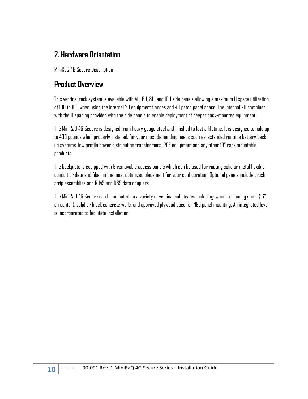### **2. Hardware Orientation**

MiniRaQ 4G Secure Description

### **Product Overview**

This vertical rack system is available with 4U, 6U, 8U, and 10U side panels allowing a maximum U space utilization of 10U to 16U when using the internal 2U equipment flanges and 4U patch panel space. The internal 2U combines with the U spacing provided with the side panels to enable deployment of deeper rack-mounted equipment.

The MiniRaQ 4G Secure is designed from heavy gauge steel and finished to last a lifetime. It is designed to hold up to 400 pounds when properly installed, for your most demanding needs such as: extended runtime battery backup systems, low profile power distribution transformers, POE equipment and any other 19" rack mountable products.

The backplate is equipped with 6 removable access panels which can be used for routing solid or metal flexible conduit or data and fiber in the most optimized placement for your configuration. Optional panels include brush strip assemblies and RJ45 and DB9 data couplers.

The MiniRaQ 4G Secure can be mounted on a variety of vertical substrates including: wooden framing studs (16" on center), solid or block concrete walls, and approved plywood used for NEC panel mounting. An integrated level is incorporated to facilitate installation.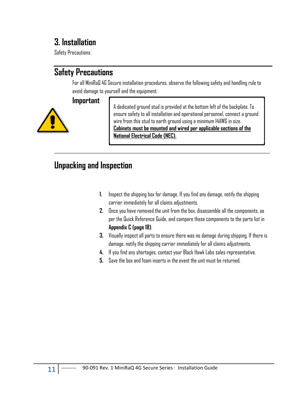# **3. Installation**

Safety Precautions

# **Safety Precautions**

For all MiniRaQ 4G Secure installation procedures, observe the following safety and handling rule to avoid damage to yourself and the equipment:

 $\mathcal{L}_\mathcal{L} = \mathcal{L}_\mathcal{L} = \mathcal{L}_\mathcal{L} = \mathcal{L}_\mathcal{L} = \mathcal{L}_\mathcal{L} = \mathcal{L}_\mathcal{L} = \mathcal{L}_\mathcal{L} = \mathcal{L}_\mathcal{L} = \mathcal{L}_\mathcal{L} = \mathcal{L}_\mathcal{L} = \mathcal{L}_\mathcal{L} = \mathcal{L}_\mathcal{L} = \mathcal{L}_\mathcal{L} = \mathcal{L}_\mathcal{L} = \mathcal{L}_\mathcal{L} = \mathcal{L}_\mathcal{L} = \mathcal{L}_\mathcal{L}$ 

#### **Important**



A dedicated ground stud is provided at the bottom left of the backplate. To ensure safety to all installation and operational personnel, connect a ground wire from this stud to earth ground using a minimum 14AWG in size. **Cabinets must be mounted and wired per applicable sections of the National Electrical Code (NEC).** 

# **Unpacking and Inspection**

- **1.** Inspect the shipping box for damage. If you find any damage, notify the shipping carrier immediately for all claims adjustments.
- **2.** Once you have removed the unit from the box, disassemble all the components, as per the Quick Reference Guide, and compare these components to the parts list in **Appendix C (page 18)**.
- **3.** Visually inspect all parts to ensure there was no damage during shipping. If there is damage, notify the shipping carrier immediately for all claims adjustments.
- **4.** If you find any shortages, contact your Black Hawk Labs sales representative.
- **5.** Save the box and foam inserts in the event the unit must be returned.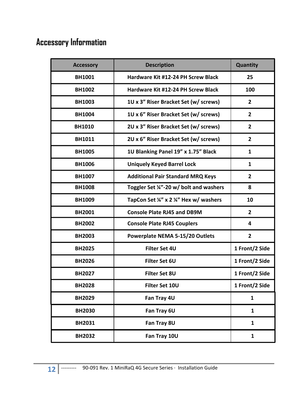# **Accessory Information**

| <b>Accessory</b> | <b>Description</b>                       | Quantity       |
|------------------|------------------------------------------|----------------|
| <b>BH1001</b>    | Hardware Kit #12-24 PH Screw Black       | 25             |
| <b>BH1002</b>    | Hardware Kit #12-24 PH Screw Black       | 100            |
| <b>BH1003</b>    | 1U x 3" Riser Bracket Set (w/ screws)    | $\overline{2}$ |
| <b>BH1004</b>    | 1U x 6" Riser Bracket Set (w/ screws)    | $\overline{2}$ |
| <b>BH1010</b>    | 2U x 3" Riser Bracket Set (w/ screws)    | $\overline{2}$ |
| <b>BH1011</b>    | 2U x 6" Riser Bracket Set (w/ screws)    | $\overline{2}$ |
| <b>BH1005</b>    | 1U Blanking Panel 19" x 1.75" Black      | 1              |
| <b>BH1006</b>    | <b>Uniquely Keyed Barrel Lock</b>        | 1              |
| <b>BH1007</b>    | <b>Additional Pair Standard MRQ Keys</b> | $\mathbf{2}$   |
| <b>BH1008</b>    | Toggler Set ¼"-20 w/ bolt and washers    | 8              |
| <b>BH1009</b>    | TapCon Set ¼" x 2 ¼" Hex w/ washers      | 10             |
| <b>BH2001</b>    | <b>Console Plate RJ45 and DB9M</b>       | $\overline{2}$ |
| <b>BH2002</b>    | <b>Console Plate RJ45 Couplers</b>       | 4              |
| <b>BH2003</b>    | Powerplate NEMA 5-15/20 Outlets          | $\overline{2}$ |
| <b>BH2025</b>    | <b>Filter Set 4U</b>                     | 1 Front/2 Side |
| <b>BH2026</b>    | <b>Filter Set 6U</b>                     | 1 Front/2 Side |
| <b>BH2027</b>    | <b>Filter Set 8U</b>                     | 1 Front/2 Side |
| <b>BH2028</b>    | Filter Set 10U                           | 1 Front/2 Side |
| <b>BH2029</b>    | Fan Tray 4U                              | $\mathbf{1}$   |
| <b>BH2030</b>    | Fan Tray 6U                              | $\mathbf{1}$   |
| <b>BH2031</b>    | Fan Tray 8U                              | $\mathbf{1}$   |
| <b>BH2032</b>    | Fan Tray 10U                             | $\mathbf{1}$   |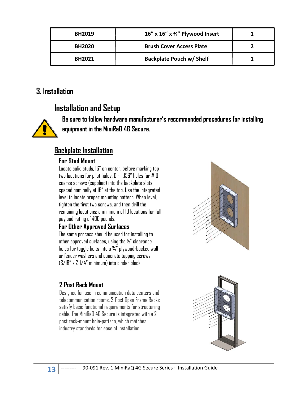| <b>BH2019</b> | 16" x 16" x $\frac{3}{4}$ " Plywood Insert |  |
|---------------|--------------------------------------------|--|
| <b>BH2020</b> | <b>Brush Cover Access Plate</b>            |  |
| <b>BH2021</b> | <b>Backplate Pouch w/ Shelf</b>            |  |

### **3. Installation**

# **Installation and Setup**

**Be sure to follow hardware manufacturer's recommended procedures for installing equipment in the MiniRaQ 4G Secure.**

### **Backplate Installation**

#### **For Stud Mount**

Locate solid studs, 16" on center, before marking top two locations for pilot holes. Drill .156" holes for #10 coarse screws (supplied) into the backplate slots, spaced nominally at 16" at the top. Use the integrated level to locate proper mounting pattern. When level, tighten the first two screws, and then drill the remaining locations; a minimum of 10 locations for full payload rating of 400 pounds.

#### **For Other Approved Surfaces**

The same process should be used for installing to other approved surfaces, using the ½" clearance holes for toggle bolts into a ¾" plywood-backed wall or fender washers and concrete tapping screws (3/16" x 2-1/4" minimum) into cinder block.

# **2 Post Rack Mount**

Designed for use in communication data centers and telecommunication rooms, 2-Post Open Frame Racks satisfy basic functional requirements for structuring cable. The MiniRaQ 4G Secure is integrated with a 2 post rack-mount hole-pattern, which matches industry standards for ease of installation.



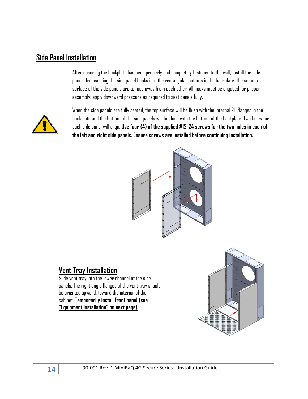### **Side Panel Installation**

After ensuring the backplate has been properly and completely fastened to the wall, install the side panels by inserting the side panel hooks into the rectangular cutouts in the backplate. The smooth surface of the side panels are to face away from each other. All hooks must be engaged for proper assembly; apply downward pressure as required to seat panels fully.



When the side panels are fully seated, the top surface will be flush with the internal 2U flanges in the backplate and the bottom of the side panels will be flush with the bottom of the backplate. Two holes for each side panel will align. **Use four (4) of the supplied #12-24 screws for the two holes in each of the left and right side panels. Ensure screws are installed before continuing installation.** 



### **Vent Tray Installation**

Slide vent tray into the lower channel of the side panels. The right angle flanges of the vent tray should be oriented upward, toward the interior of the cabinet. **Temporarily install front panel (see "Equipment Installation" on next page).** 

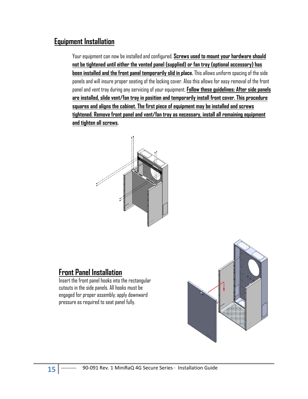### **Equipment Installation**

Your equipment can now be installed and configured. **Screws used to mount your hardware should not be tightened until either the vented panel (supplied) or fan tray (optional accessory) has been installed and the front panel temporarily slid in place.** This allows uniform spacing of the side panels and will insure proper seating of the locking cover. Also this allows for easy removal of the front panel and vent tray during any servicing of your equipment. **Follow these guidelines: After side panels are installed, slide vent/fan tray in position and temporarily install front cover. This procedure squares and aligns the cabinet. The first piece of equipment may be installed and screws tightened. Remove front panel and vent/fan tray as necessary, install all remaining equipment and tighten all screws.** 



### **Front Panel Installation**

Insert the front panel hooks into the rectangular cutouts in the side panels. All hooks must be engaged for proper assembly; apply downward pressure as required to seat panel fully.

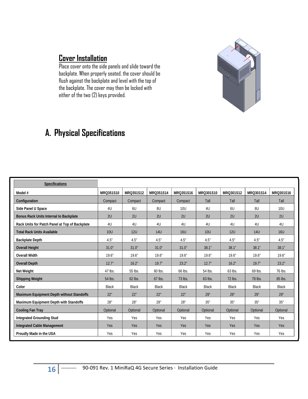### **Cover Installation**

Place cover onto the side panels and slide toward the backplate. When properly seated, the cover should be flush against the backplate and level with the top of the backplate. The cover may then be locked with either of the two (2) keys provided.

# **A. Physical Specifications**

| Specifications                                 |              |              |              |              |            |            |              |              |
|------------------------------------------------|--------------|--------------|--------------|--------------|------------|------------|--------------|--------------|
| Model #                                        | MRQ351S10    | MRQ351S12    | MRQ351S14    | MRQ351S16    | MRQ301S10  | MRO301S12  | MRQ301S14    | MRQ301S16    |
| Configuration                                  | Compact      | Compact      | Compact      | Compact      | Tall       | Tall       | Tall         | Tall         |
| Side Panel U Space                             | 4U           | 6U           | 8U           | 10U          | 4U         | 6U         | 8U           | 10U          |
| <b>Bonus Rack Units Internal to Backplate</b>  | 2U           | 2U           | 2U           | 2U           | 2U         | 2U         | 2U           | 2U           |
| Rack Units for Patch Panel at Top of Backplate | 4U           | 4U           | 4U           | 4U           | 4U         | 4U         | 4U           | 4U           |
| <b>Total Rack Units Available</b>              | <b>10U</b>   | <b>12U</b>   | <b>14U</b>   | <b>16U</b>   | <b>10U</b> | <b>12U</b> | <b>14U</b>   | <b>16U</b>   |
| <b>Backplate Depth</b>                         | 4.5"         | 4.5"         | 4.5"         | 4.5"         | 4.5"       | 4.5"       | 4.5"         | 4.5"         |
| <b>Overall Height</b>                          | 31.0"        | 31.0"        | 31.0"        | 31.0"        | 38.1"      | 38.1"      | 38.1"        | 38.1"        |
| <b>Overall Width</b>                           | 19.6"        | 19.6"        | 19.6"        | 19.6"        | 19.6"      | 19.6"      | 19.6"        | 19.6"        |
| <b>Overall Depth</b>                           | 12.7"        | 16.2"        | 19.7"        | 23.2"        | 12.7"      | 16.2"      | 19.7"        | 23.2"        |
| Net Weight                                     | 47 lbs.      | 55 lbs.      | 60 lbs.      | 66 lbs.      | 54 lbs.    | 63 lbs.    | 69 lbs.      | 76 lbs.      |
| <b>Shipping Weight</b>                         | 54 lbs.      | 62 lbs.      | 67 lbs.      | 73 lbs.      | 63 lbs.    | 72 lbs.    | 78 lbs.      | 85 lbs.      |
| Color                                          | <b>Black</b> | <b>Black</b> | <b>Black</b> | <b>Black</b> | Black      | Black      | <b>Black</b> | <b>Black</b> |
| Maximum Equipment Depth without Standoffs      | 22"          | 22"          | 22"          | 22"          | 29"        | 29"        | 29"          | 29"          |
| Maximum Equipment Depth with Standoffs         | 28"          | 28"          | 28"          | 28"          | 35"        | 35"        | 35"          | 35"          |
| <b>Cooling Fan Tray</b>                        | Optional     | Optional     | Optional     | Optional     | Optional   | Optional   | Optional     | Optional     |
| <b>Integrated Grounding Stud</b>               | Yes          | Yes          | Yes          | Yes          | Yes        | Yes        | Yes          | Yes          |
| <b>Integrated Cable Management</b>             | Yes          | Yes          | Yes          | Yes          | Yes        | Yes        | Yes          | Yes          |
| Proudly Made in the USA                        | Yes          | Yes          | Yes          | Yes          | Yes        | Yes        | Yes          | Yes          |

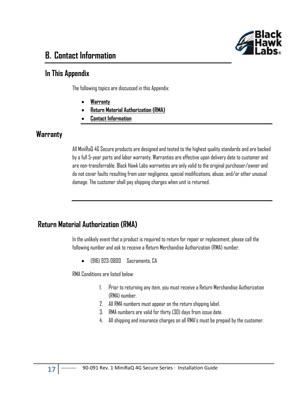

# **B. Contact Information**

### **In This Appendix**

The following topics are discussed in this Appendix:

- **Warranty**
- **Return Material Authorization (RMA)**
- **Contact Information**

### **Warranty**

All MiniRaQ 4G Secure products are designed and tested to the highest quality standards and are backed by a full 5-year parts and labor warranty. Warranties are effective upon delivery date to customer and are non-transferrable. Black Hawk Labs warranties are only valid to the original purchaser/owner and do not cover faults resulting from user negligence, special modifications, abuse, and/or other unusual damage. The customer shall pay shipping charges when unit is returned.

### **Return Material Authorization (RMA)**

In the unlikely event that a product is required to return for repair or replacement, please call the following number and ask to receive a Return Merchandise Authorization (RMA) number.

(916) 923-0800 Sacramento, CA

RMA Conditions are listed below:

- 1. Prior to returning any item, you must receive a Return Merchandise Authorization (RMA) number.
- 2. All RMA numbers must appear on the return shipping label.
- 3. RMA numbers are valid for thirty (30) days from issue date.
- 4. All shipping and insurance charges on all RMA's must be prepaid by the customer.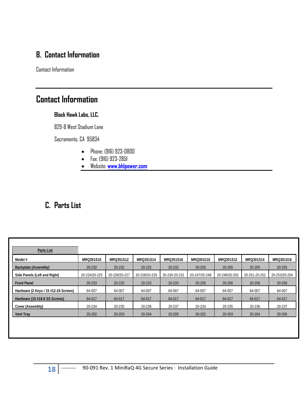# **B. Contact Information**

Contact Information

# **Contact Information**

#### **Black Hawk Labs, LLC.**

829-B West Stadium Lane

Sacramento, CA 95834

- Phone: (916) 923-0800
- Fax: (916) 923-2851
- Website: **www.bhlpower.com**

## **C. Parts List**

| Parts List                           |               |               |               |               |               |               |               |               |
|--------------------------------------|---------------|---------------|---------------|---------------|---------------|---------------|---------------|---------------|
| Model #                              | MRQ351S10     | MRQ351S12     | MRQ351S14     | MRQ351S16     | MRQ301S10     | MRQ301S12     | MRQ301S14     | MRQ301S16     |
| Backplate (Assembly)                 | 20-232        | 20-232        | 20-232        | 20-232        | 20-255        | 20-255        | 20-255        | 20-255        |
| Side Panels (Left and Right)         | 20-224/20-225 | 20-226/20-227 | 20-228/20-229 | 20-230-20-231 | 20-247/20-248 | 20-249/20-250 | 20-251-20-252 | 20-253/20-254 |
| <b>Front Panel</b>                   | 20-233        | 20-233        | 20-233        | 20-233        | 20-256        | 20-256        | 20-256        | 20-256        |
| Hardware (2 Keys / 15 #12-24 Screws) | 64-007        | 64-007        | 64-007        | 64-007        | 64-007        | 64-007        | 64-007        | 64-007        |
| Hardware (10 #18-8 SS Screws)        | 64-017        | 64-017        | 64-017        | 64-017        | 64-017        | 64-017        | 64-017        | 64-017        |
| Cover (Assembly)                     | 20-234        | 20-235        | 20-236        | 20-237        | 20-234        | 20-235        | 20-236        | 20-237        |
| <b>Vent Tray</b>                     | 20-202        | 20-203        | 20-204        | 20-205        | 20-202        | 20-203        | 20-204        | 20-205        |
|                                      |               |               |               |               |               |               |               |               |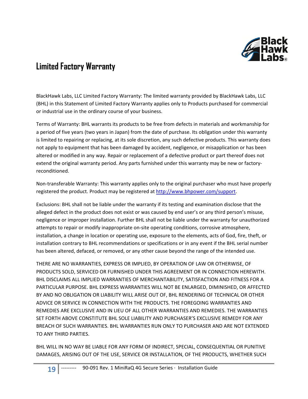

# **Limited Factory Warranty**

BlackHawk Labs, LLC Limited Factory Warranty: The limited warranty provided by BlackHawk Labs, LLC (BHL) in this Statement of Limited Factory Warranty applies only to Products purchased for commercial or industrial use in the ordinary course of your business.

Terms of Warranty: BHL warrants its products to be free from defects in materials and workmanship for a period of five years (two years in Japan) from the date of purchase. Its obligation under this warranty is limited to repairing or replacing, at its sole discretion, any such defective products. This warranty does not apply to equipment that has been damaged by accident, negligence, or misapplication or has been altered or modified in any way. Repair or replacement of a defective product or part thereof does not extend the original warranty period. Any parts furnished under this warranty may be new or factory‐ reconditioned.

Non-transferable Warranty: This warranty applies only to the original purchaser who must have properly registered the product. Product may be registered at http://www.bhpower.com/support.

Exclusions: BHL shall not be liable under the warranty if its testing and examination disclose that the alleged defect in the product does not exist or was caused by end user's or any third person's misuse, negligence or improper installation. Further BHL shall not be liable under the warranty for unauthorized attempts to repair or modify inappropriate on‐site operating conditions, corrosive atmosphere, installation, a change in location or operating use, exposure to the elements, acts of God, fire, theft, or installation contrary to BHL recommendations or specifications or in any event if the BHL serial number has been altered, defaced, or removed, or any other cause beyond the range of the intended use.

THERE ARE NO WARRANTIES, EXPRESS OR IMPLIED, BY OPERATION OF LAW OR OTHERWISE, OF PRODUCTS SOLD, SERVICED OR FURNISHED UNDER THIS AGREEMENT OR IN CONNECTION HEREWITH. BHL DISCLAIMS ALL IMPLIED WARRANTIES OF MERCHANTABILITY, SATISFACTION AND FITNESS FOR A PARTICULAR PURPOSE. BHL EXPRESS WARRANTIES WILL NOT BE ENLARGED, DIMINISHED, OR AFFECTED BY AND NO OBLIGATION OR LIABILITY WILL ARISE OUT OF, BHL RENDERING OF TECHNICAL OR OTHER ADVICE OR SERVICE IN CONNECTION WITH THE PRODUCTS. THE FOREGOING WARRANTIES AND REMEDIES ARE EXCLUSIVE AND IN LIEU OF ALL OTHER WARRANTIES AND REMEDIES. THE WARRANTIES SET FORTH ABOVE CONSTITUTE BHL SOLE LIABILITY AND PURCHASER'S EXCLUSIVE REMEDY FOR ANY BREACH OF SUCH WARRANTIES. BHL WARRANTIES RUN ONLY TO PURCHASER AND ARE NOT EXTENDED TO ANY THIRD PARTIES.

BHL WILL IN NO WAY BE LIABLE FOR ANY FORM OF INDIRECT, SPECIAL, CONSEQUENTIAL OR PUNITIVE DAMAGES, ARISING OUT OF THE USE, SERVICE OR INSTALLATION, OF THE PRODUCTS, WHETHER SUCH